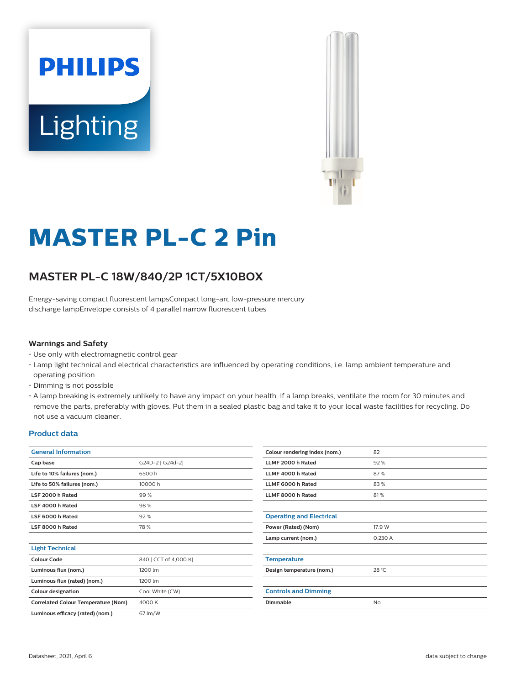



# **MASTER PL-C 2 Pin**

## **MASTER PL-C 18W/840/2P 1CT/5X10BOX**

Energy-saving compact fluorescent lampsCompact long-arc low-pressure mercury discharge lampEnvelope consists of 4 parallel narrow fluorescent tubes

#### **Warnings and Safety**

- Use only with electromagnetic control gear
- Lamp light technical and electrical characteristics are influenced by operating conditions, i.e. lamp ambient temperature and operating position
- Dimming is not possible
- A lamp breaking is extremely unlikely to have any impact on your health. If a lamp breaks, ventilate the room for 30 minutes and remove the parts, preferably with gloves. Put them in a sealed plastic bag and take it to your local waste facilities for recycling. Do not use a vacuum cleaner.

#### **Product data**

| <b>General Information</b>                 |                       |  |  |
|--------------------------------------------|-----------------------|--|--|
| Cap base                                   | G24D-2 [ G24d-2]      |  |  |
| Life to 10% failures (nom.)                | 6500 h                |  |  |
| Life to 50% failures (nom.)                | 10000 h               |  |  |
| LSF 2000 h Rated                           | 99%                   |  |  |
| LSF 4000 h Rated                           | 98%                   |  |  |
| LSF 6000 h Rated                           | 92%                   |  |  |
| LSF 8000 h Rated                           | 78%                   |  |  |
|                                            |                       |  |  |
| <b>Light Technical</b>                     |                       |  |  |
| Colour Code                                | 840 [ CCT of 4,000 K] |  |  |
| Luminous flux (nom.)                       | 1200 lm               |  |  |
| Luminous flux (rated) (nom.)               | 1200 lm               |  |  |
| <b>Colour designation</b>                  | Cool White (CW)       |  |  |
| <b>Correlated Colour Temperature (Nom)</b> | 4000 K                |  |  |
| Luminous efficacy (rated) (nom.)           | 67 lm/W               |  |  |
|                                            |                       |  |  |

| Colour rendering index (nom.)   | 82      |  |  |  |
|---------------------------------|---------|--|--|--|
| LLMF 2000 h Rated               | 92%     |  |  |  |
| LLMF 4000 h Rated               | 87%     |  |  |  |
| LLMF 6000 h Rated               | 83%     |  |  |  |
| LLMF 8000 h Rated               | 81%     |  |  |  |
|                                 |         |  |  |  |
| <b>Operating and Electrical</b> |         |  |  |  |
| Power (Rated) (Nom)             | 17.9 W  |  |  |  |
| Lamp current (nom.)             | 0.230 A |  |  |  |
|                                 |         |  |  |  |
| <b>Temperature</b>              |         |  |  |  |
| Design temperature (nom.)       | 28 °C   |  |  |  |
|                                 |         |  |  |  |
| <b>Controls and Dimming</b>     |         |  |  |  |
| Dimmable                        | No      |  |  |  |
|                                 |         |  |  |  |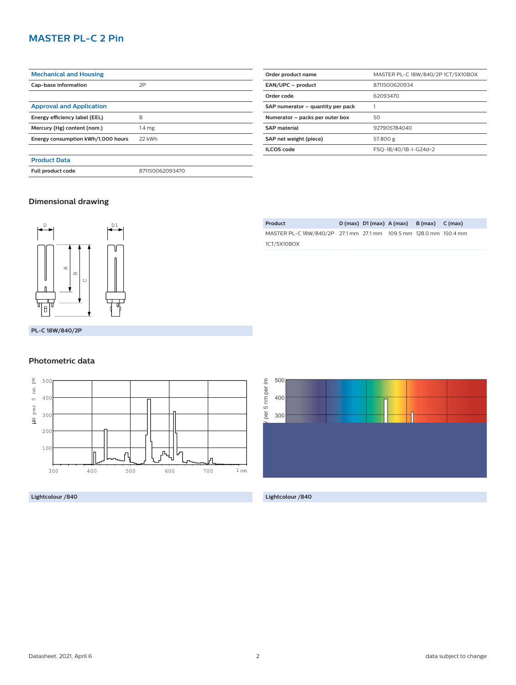## **MASTER PL-C 2 Pin**

| <b>Mechanical and Housing</b>      |                   |  |  |
|------------------------------------|-------------------|--|--|
| Cap-base information               | 2P                |  |  |
|                                    |                   |  |  |
| <b>Approval and Application</b>    |                   |  |  |
| Energy efficiency label (EEL)      | B                 |  |  |
| Mercury (Hg) content (nom.)        | 1.4 <sub>mg</sub> |  |  |
| Energy consumption kWh/1,000 hours | 22 kWh            |  |  |
|                                    |                   |  |  |
| <b>Product Data</b>                |                   |  |  |
| Full product code                  | 871150062093470   |  |  |

| Order product name                | MASTER PL-C 18W/840/2P 1CT/5X10BOX |  |  |  |
|-----------------------------------|------------------------------------|--|--|--|
| EAN/UPC - product                 | 8711500620934                      |  |  |  |
| Order code                        | 62093470                           |  |  |  |
| SAP numerator - quantity per pack |                                    |  |  |  |
| Numerator - packs per outer box   | 50                                 |  |  |  |
| <b>SAP material</b>               | 927905784040                       |  |  |  |
| SAP net weight (piece)            | 57.800 g                           |  |  |  |
| <b>ILCOS</b> code                 | FSQ-18/40/1B-I-G24d=2              |  |  |  |

## **Dimensional drawing**



**PL-C 18W/840/2P**

### **Photometric data**



**Lightcolour /840 Lightcolour /840**

| Product                                                           |  | $D(max)$ $D1(max)$ $A(max)$ $B(max)$ $C(max)$ |  |
|-------------------------------------------------------------------|--|-----------------------------------------------|--|
| MASTER PL-C 18W/840/2P 27.1 mm 27.1 mm 109.5 mm 128.0 mm 150.4 mm |  |                                               |  |
| 1CT/5X10BOX                                                       |  |                                               |  |